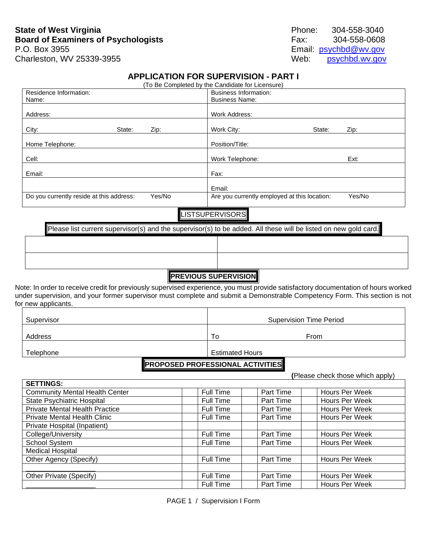# **State of West Virginia Phone:** 304-558-3040 **Board of Examiners of Psychologists** Fax: 304-558-0608 Charleston, WV 25339-3955 Web:

P.O. Box 3955<br>
Charleston, WV 25339-3955 Charleston, WV 25339-3955

## **APPLICATION FOR SUPERVISION - PART I**

|                                                    | (To Be Completed by the Candidate for Licensure) |        |
|----------------------------------------------------|--------------------------------------------------|--------|
| Residence Information:                             | <b>Business Information:</b>                     |        |
| Name:                                              | <b>Business Name:</b>                            |        |
|                                                    |                                                  |        |
| Address:                                           | Work Address:                                    |        |
|                                                    |                                                  |        |
| City:<br>State:<br>Zip:                            | Work City:<br>State:                             | Zip:   |
|                                                    |                                                  |        |
| Home Telephone:                                    | Position/Title:                                  |        |
|                                                    |                                                  |        |
| Cell:                                              | Work Telephone:                                  | Ext:   |
|                                                    |                                                  |        |
| Email:                                             | Fax:                                             |        |
|                                                    |                                                  |        |
|                                                    | Email:                                           |        |
| Do you currently reside at this address:<br>Yes/No | Are you currently employed at this location:     | Yes/No |
|                                                    |                                                  |        |
|                                                    | <b>LISTSUPERVISORS</b>                           |        |

| Please list current supervisor(s) and the supervisor(s) to be added. All these will be listed on new gold card. |  |
|-----------------------------------------------------------------------------------------------------------------|--|
|                                                                                                                 |  |
|                                                                                                                 |  |
|                                                                                                                 |  |

# **PREVIOUS SUPERVISION**

Note: In order to receive credit for previously supervised experience, you must provide satisfactory documentation of hours worked under supervision, and your former supervisor must complete and submit a Demonstrable Competency Form. This section is not for new applicants.

| Supervisor |                        | <b>Supervision Time Period</b> |  |  |
|------------|------------------------|--------------------------------|--|--|
| Address    | To                     | From                           |  |  |
| Telephone  | <b>Estimated Hours</b> |                                |  |  |

### **PROPOSED PROFESSIONAL ACTIVITIES**

|                                       |                  |           | (Please check those which apply) |
|---------------------------------------|------------------|-----------|----------------------------------|
| <b>SETTINGS:</b>                      |                  |           |                                  |
| <b>Community Mental Health Center</b> | Full Time        | Part Time | Hours Per Week                   |
| State Psychiatric Hospital            | Full Time        | Part Time | Hours Per Week                   |
| <b>Private Mental Health Practice</b> | <b>Full Time</b> | Part Time | Hours Per Week                   |
| <b>Private Mental Health Clinic</b>   | <b>Full Time</b> | Part Time | Hours Per Week                   |
| Private Hospital (Inpatient)          |                  |           |                                  |
| College/University                    | Full Time        | Part Time | Hours Per Week                   |
| School System                         | <b>Full Time</b> | Part Time | Hours Per Week                   |
| <b>Medical Hospital</b>               |                  |           |                                  |
| Other Agency (Specify)                | Full Time        | Part Time | Hours Per Week                   |
|                                       |                  |           |                                  |
| Other Private (Specify)               | Full Time        | Part Time | Hours Per Week                   |
|                                       | <b>Full Time</b> | Part Time | Hours Per Week                   |